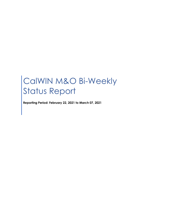# CalWIN M&O Bi-Weekly Status Report

**Reporting Period: February 22, 2021 to March 07, 2021**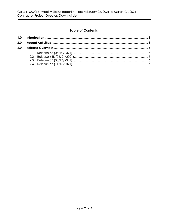## **Table of Contents**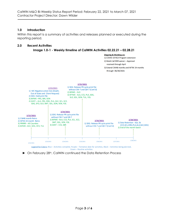#### <span id="page-2-0"></span>**1.0 Introduction**

Within this report is a summary of activities and releases planned or executed during the reporting period.

#### <span id="page-2-1"></span>**2.0 Recent Activities**





Legend for Colors: Blue - Activities complete, Purple - Tentative date for activities, Black - Activities being planned, Green - Routine activities

► On February 28th, CalWIN continued the Data Retention Process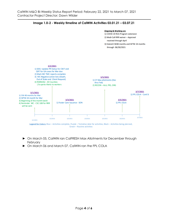



- ► On March 05, CalWIN ran CalFRESH Max Allotments for December through February
- ► On March 06 and March 07, CalWIN ran the FPL COLA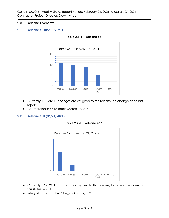#### <span id="page-4-0"></span>**2.0 Release Overview**

#### <span id="page-4-1"></span>**2.1 Release 65 (05/10/2021)**



**Table 2.1-1 - Release 65**

- ► Currently 11 CalWIN changes are assigned to this release, no change since last report
- ► UAT for release 65 to begin March 08, 2021

#### <span id="page-4-2"></span>**2.2 Release 65B (06/21/2021)**





- ► Currently 3 CalWIN changes are assigned to this release, this is release is new with this status report
- ► Integration Test for R65B begins April 19, 2021